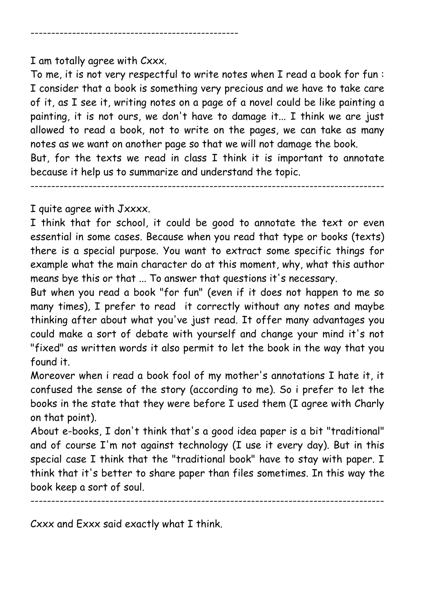--------------------------------------------------

I am totally agree with Cxxx.

To me, it is not very respectful to write notes when I read a book for fun : I consider that a book is something very precious and we have to take care of it, as I see it, writing notes on a page of a novel could be like painting a painting, it is not ours, we don't have to damage it... I think we are just allowed to read a book, not to write on the pages, we can take as many notes as we want on another page so that we will not damage the book. But, for the texts we read in class I think it is important to annotate

because it help us to summarize and understand the topic.

I quite agree with Jxxxx.

I think that for school, it could be good to annotate the text or even essential in some cases. Because when you read that type or books (texts) there is a special purpose. You want to extract some specific things for example what the main character do at this moment, why, what this author means bye this or that ... To answer that questions it's necessary.

-------------------------------------------------------------------------------------

But when you read a book "for fun" (even if it does not happen to me so many times), I prefer to read it correctly without any notes and maybe thinking after about what you've just read. It offer many advantages you could make a sort of debate with yourself and change your mind it's not "fixed" as written words it also permit to let the book in the way that you found it.

Moreover when i read a book fool of my mother's annotations I hate it, it confused the sense of the story (according to me). So i prefer to let the books in the state that they were before I used them (I agree with Charly on that point).

About e-books, I don't think that's a good idea paper is a bit "traditional" and of course I'm not against technology (I use it every day). But in this special case I think that the "traditional book" have to stay with paper. I think that it's better to share paper than files sometimes. In this way the book keep a sort of soul.

-------------------------------------------------------------------------------------

Cxxx and Exxx said exactly what I think.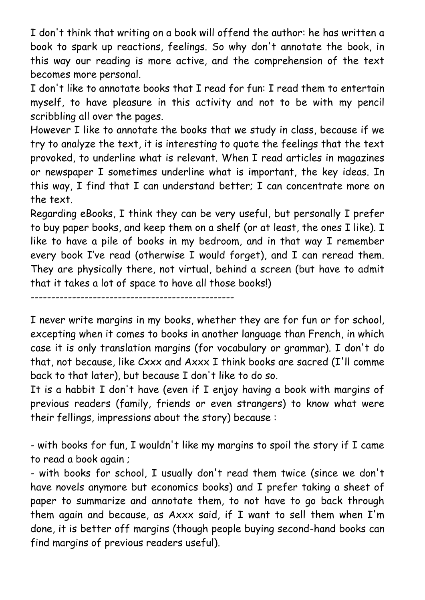I don't think that writing on a book will offend the author: he has written a book to spark up reactions, feelings. So why don't annotate the book, in this way our reading is more active, and the comprehension of the text becomes more personal.

I don't like to annotate books that I read for fun: I read them to entertain myself, to have pleasure in this activity and not to be with my pencil scribbling all over the pages.

However I like to annotate the books that we study in class, because if we try to analyze the text, it is interesting to quote the feelings that the text provoked, to underline what is relevant. When I read articles in magazines or newspaper I sometimes underline what is important, the key ideas. In this way, I find that I can understand better; I can concentrate more on the text.

Regarding eBooks, I think they can be very useful, but personally I prefer to buy paper books, and keep them on a shelf (or at least, the ones I like). I like to have a pile of books in my bedroom, and in that way I remember every book I've read (otherwise I would forget), and I can reread them. They are physically there, not virtual, behind a screen (but have to admit that it takes a lot of space to have all those books!)

-------------------------------------------------

I never write margins in my books, whether they are for fun or for school, excepting when it comes to books in another language than French, in which case it is only translation margins (for vocabulary or grammar). I don't do that, not because, like Cxxx and Axxx I think books are sacred (I'll comme back to that later), but because I don't like to do so.

It is a habbit I don't have (even if I enjoy having a book with margins of previous readers (family, friends or even strangers) to know what were their fellings, impressions about the story) because :

- with books for fun, I wouldn't like my margins to spoil the story if I came to read a book again ;

- with books for school, I usually don't read them twice (since we don't have novels anymore but economics books) and I prefer taking a sheet of paper to summarize and annotate them, to not have to go back through them again and because, as Axxx said, if I want to sell them when I'm done, it is better off margins (though people buying second-hand books can find margins of previous readers useful).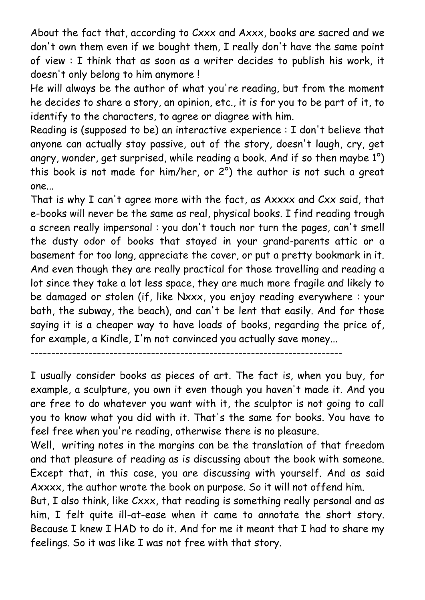About the fact that, according to Cxxx and Axxx, books are sacred and we don't own them even if we bought them, I really don't have the same point of view : I think that as soon as a writer decides to publish his work, it doesn't only belong to him anymore !

He will always be the author of what you're reading, but from the moment he decides to share a story, an opinion, etc., it is for you to be part of it, to identify to the characters, to agree or diagree with him.

Reading is (supposed to be) an interactive experience : I don't believe that anyone can actually stay passive, out of the story, doesn't laugh, cry, get angry, wonder, get surprised, while reading a book. And if so then maybe 1°) this book is not made for him/her, or 2°) the author is not such a great one...

That is why I can't agree more with the fact, as Axxxx and Cxx said, that e-books will never be the same as real, physical books. I find reading trough a screen really impersonal : you don't touch nor turn the pages, can't smell the dusty odor of books that stayed in your grand-parents attic or a basement for too long, appreciate the cover, or put a pretty bookmark in it. And even though they are really practical for those travelling and reading a lot since they take a lot less space, they are much more fragile and likely to be damaged or stolen (if, like Nxxx, you enjoy reading everywhere : your bath, the subway, the beach), and can't be lent that easily. And for those saying it is a cheaper way to have loads of books, regarding the price of, for example, a Kindle, I'm not convinced you actually save money...

```
---------------------------------------------------------------------------
```
I usually consider books as pieces of art. The fact is, when you buy, for example, a sculpture, you own it even though you haven't made it. And you are free to do whatever you want with it, the sculptor is not going to call you to know what you did with it. That's the same for books. You have to feel free when you're reading, otherwise there is no pleasure.

Well, writing notes in the margins can be the translation of that freedom and that pleasure of reading as is discussing about the book with someone. Except that, in this case, you are discussing with yourself. And as said Axxxx, the author wrote the book on purpose. So it will not offend him.

But, I also think, like Cxxx, that reading is something really personal and as him, I felt quite ill-at-ease when it came to annotate the short story. Because I knew I HAD to do it. And for me it meant that I had to share my feelings. So it was like I was not free with that story.